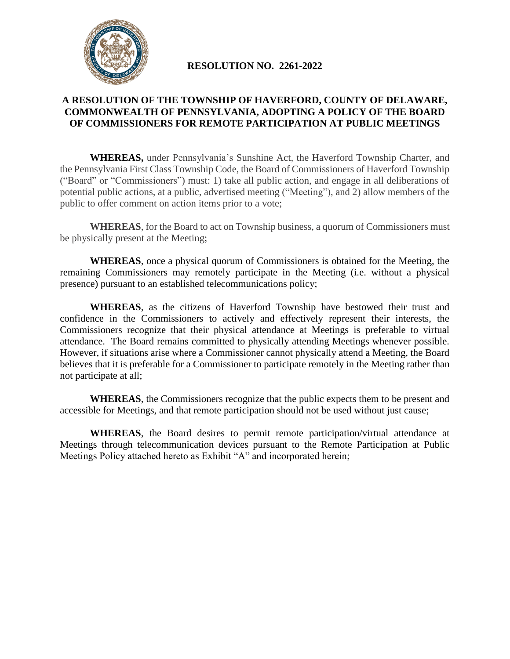

## **RESOLUTION NO. 2261-2022**

## **A RESOLUTION OF THE TOWNSHIP OF HAVERFORD, COUNTY OF DELAWARE, COMMONWEALTH OF PENNSYLVANIA, ADOPTING A POLICY OF THE BOARD OF COMMISSIONERS FOR REMOTE PARTICIPATION AT PUBLIC MEETINGS**

**WHEREAS,** under Pennsylvania's Sunshine Act, the Haverford Township Charter, and the Pennsylvania First Class Township Code, the Board of Commissioners of Haverford Township ("Board" or "Commissioners") must: 1) take all public action, and engage in all deliberations of potential public actions, at a public, advertised meeting ("Meeting"), and 2) allow members of the public to offer comment on action items prior to a vote;

**WHEREAS**, for the Board to act on Township business, a quorum of Commissioners must be physically present at the Meeting;

**WHEREAS**, once a physical quorum of Commissioners is obtained for the Meeting, the remaining Commissioners may remotely participate in the Meeting (i.e. without a physical presence) pursuant to an established telecommunications policy;

**WHEREAS**, as the citizens of Haverford Township have bestowed their trust and confidence in the Commissioners to actively and effectively represent their interests, the Commissioners recognize that their physical attendance at Meetings is preferable to virtual attendance. The Board remains committed to physically attending Meetings whenever possible. However, if situations arise where a Commissioner cannot physically attend a Meeting, the Board believes that it is preferable for a Commissioner to participate remotely in the Meeting rather than not participate at all;

**WHEREAS**, the Commissioners recognize that the public expects them to be present and accessible for Meetings, and that remote participation should not be used without just cause;

**WHEREAS**, the Board desires to permit remote participation/virtual attendance at Meetings through telecommunication devices pursuant to the Remote Participation at Public Meetings Policy attached hereto as Exhibit "A" and incorporated herein;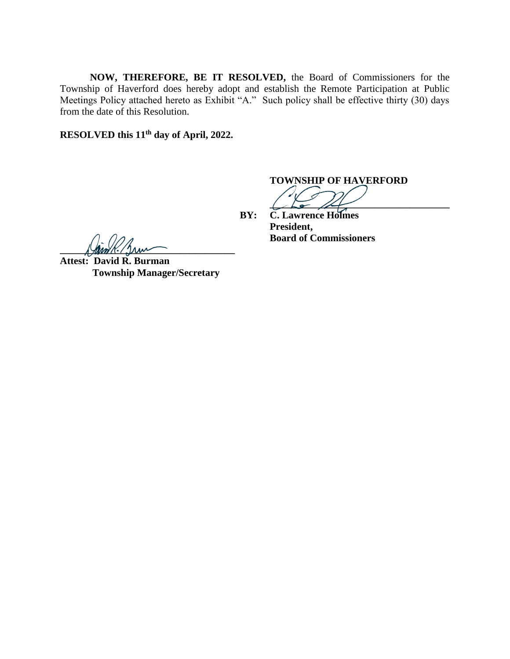**NOW, THEREFORE, BE IT RESOLVED,** the Board of Commissioners for the Township of Haverford does hereby adopt and establish the Remote Participation at Public Meetings Policy attached hereto as Exhibit "A." Such policy shall be effective thirty (30) days from the date of this Resolution.

**RESOLVED this 11th day of April, 2022.**

**TOWNSHIP OF HAVERFORD**

 $\overline{a}$ **BY: C. Lawrence Holmes**

**Board of Commissioners**

**President,**

 $\frac{1}{2}$ 

**Attest: David R. Burman Township Manager/Secretary**